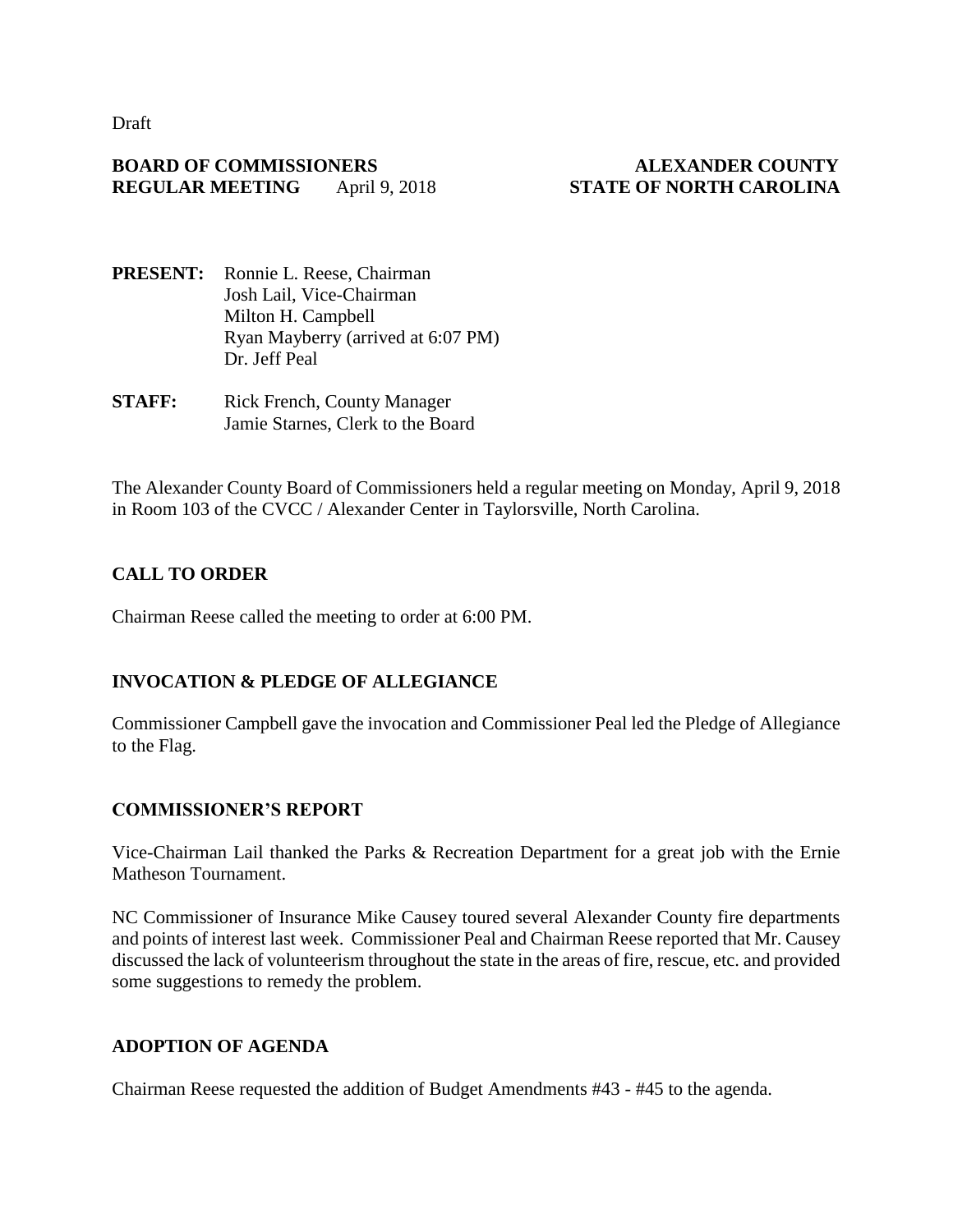Draft

#### **BOARD OF COMMISSIONERS ALEXANDER COUNTY REGULAR MEETING** April 9, 2018 **STATE OF NORTH CAROLINA**

- **PRESENT:** Ronnie L. Reese, Chairman Josh Lail, Vice-Chairman Milton H. Campbell Ryan Mayberry (arrived at 6:07 PM) Dr. Jeff Peal
- **STAFF:** Rick French, County Manager Jamie Starnes, Clerk to the Board

The Alexander County Board of Commissioners held a regular meeting on Monday, April 9, 2018 in Room 103 of the CVCC / Alexander Center in Taylorsville, North Carolina.

## **CALL TO ORDER**

Chairman Reese called the meeting to order at 6:00 PM.

## **INVOCATION & PLEDGE OF ALLEGIANCE**

Commissioner Campbell gave the invocation and Commissioner Peal led the Pledge of Allegiance to the Flag.

## **COMMISSIONER'S REPORT**

Vice-Chairman Lail thanked the Parks & Recreation Department for a great job with the Ernie Matheson Tournament.

NC Commissioner of Insurance Mike Causey toured several Alexander County fire departments and points of interest last week. Commissioner Peal and Chairman Reese reported that Mr. Causey discussed the lack of volunteerism throughout the state in the areas of fire, rescue, etc. and provided some suggestions to remedy the problem.

## **ADOPTION OF AGENDA**

Chairman Reese requested the addition of Budget Amendments #43 - #45 to the agenda.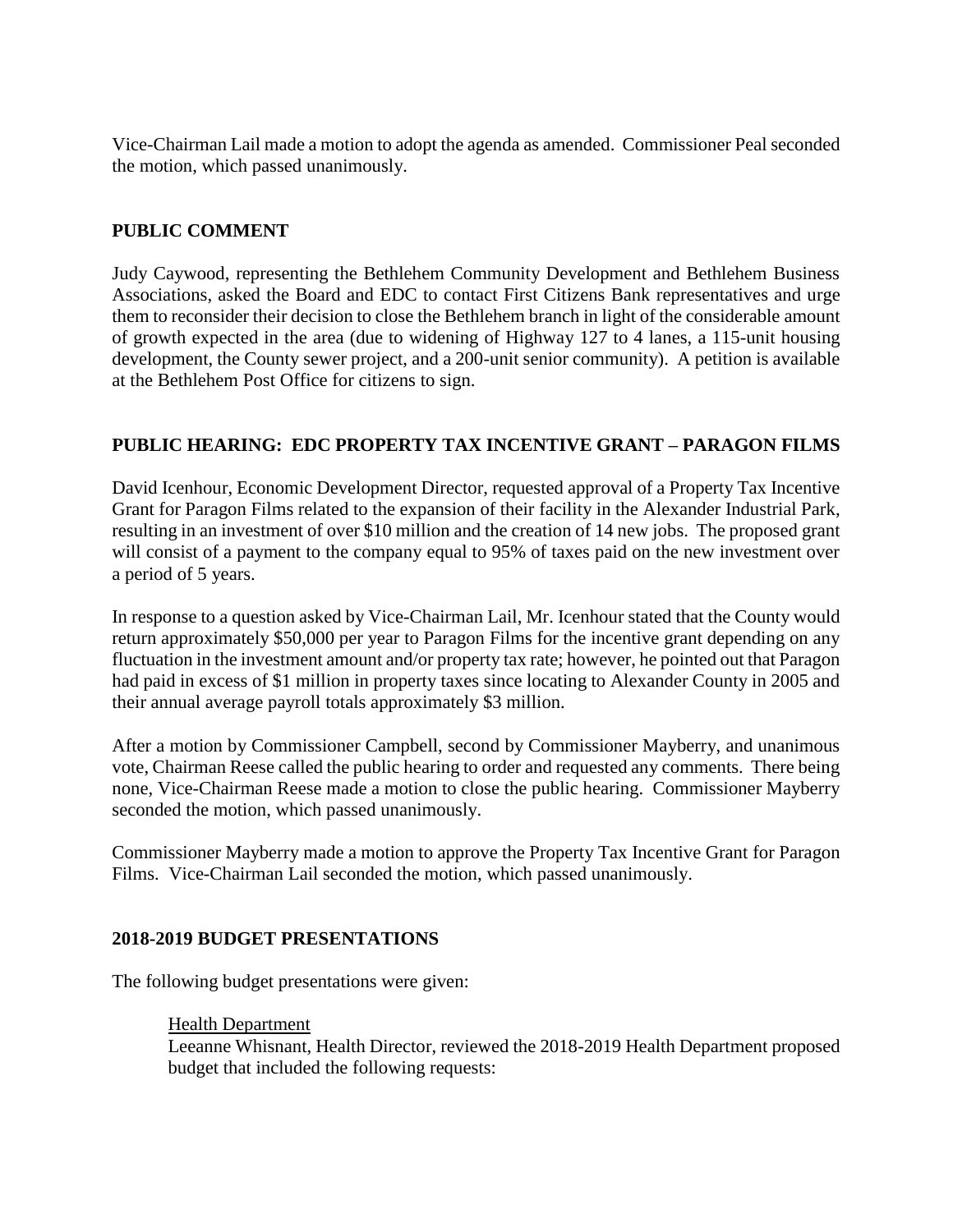Vice-Chairman Lail made a motion to adopt the agenda as amended. Commissioner Peal seconded the motion, which passed unanimously.

## **PUBLIC COMMENT**

Judy Caywood, representing the Bethlehem Community Development and Bethlehem Business Associations, asked the Board and EDC to contact First Citizens Bank representatives and urge them to reconsider their decision to close the Bethlehem branch in light of the considerable amount of growth expected in the area (due to widening of Highway 127 to 4 lanes, a 115-unit housing development, the County sewer project, and a 200-unit senior community). A petition is available at the Bethlehem Post Office for citizens to sign.

## **PUBLIC HEARING: EDC PROPERTY TAX INCENTIVE GRANT – PARAGON FILMS**

David Icenhour, Economic Development Director, requested approval of a Property Tax Incentive Grant for Paragon Films related to the expansion of their facility in the Alexander Industrial Park, resulting in an investment of over \$10 million and the creation of 14 new jobs. The proposed grant will consist of a payment to the company equal to 95% of taxes paid on the new investment over a period of 5 years.

In response to a question asked by Vice-Chairman Lail, Mr. Icenhour stated that the County would return approximately \$50,000 per year to Paragon Films for the incentive grant depending on any fluctuation in the investment amount and/or property tax rate; however, he pointed out that Paragon had paid in excess of \$1 million in property taxes since locating to Alexander County in 2005 and their annual average payroll totals approximately \$3 million.

After a motion by Commissioner Campbell, second by Commissioner Mayberry, and unanimous vote, Chairman Reese called the public hearing to order and requested any comments. There being none, Vice-Chairman Reese made a motion to close the public hearing. Commissioner Mayberry seconded the motion, which passed unanimously.

Commissioner Mayberry made a motion to approve the Property Tax Incentive Grant for Paragon Films. Vice-Chairman Lail seconded the motion, which passed unanimously.

## **2018-2019 BUDGET PRESENTATIONS**

The following budget presentations were given:

Health Department

Leeanne Whisnant, Health Director, reviewed the 2018-2019 Health Department proposed budget that included the following requests: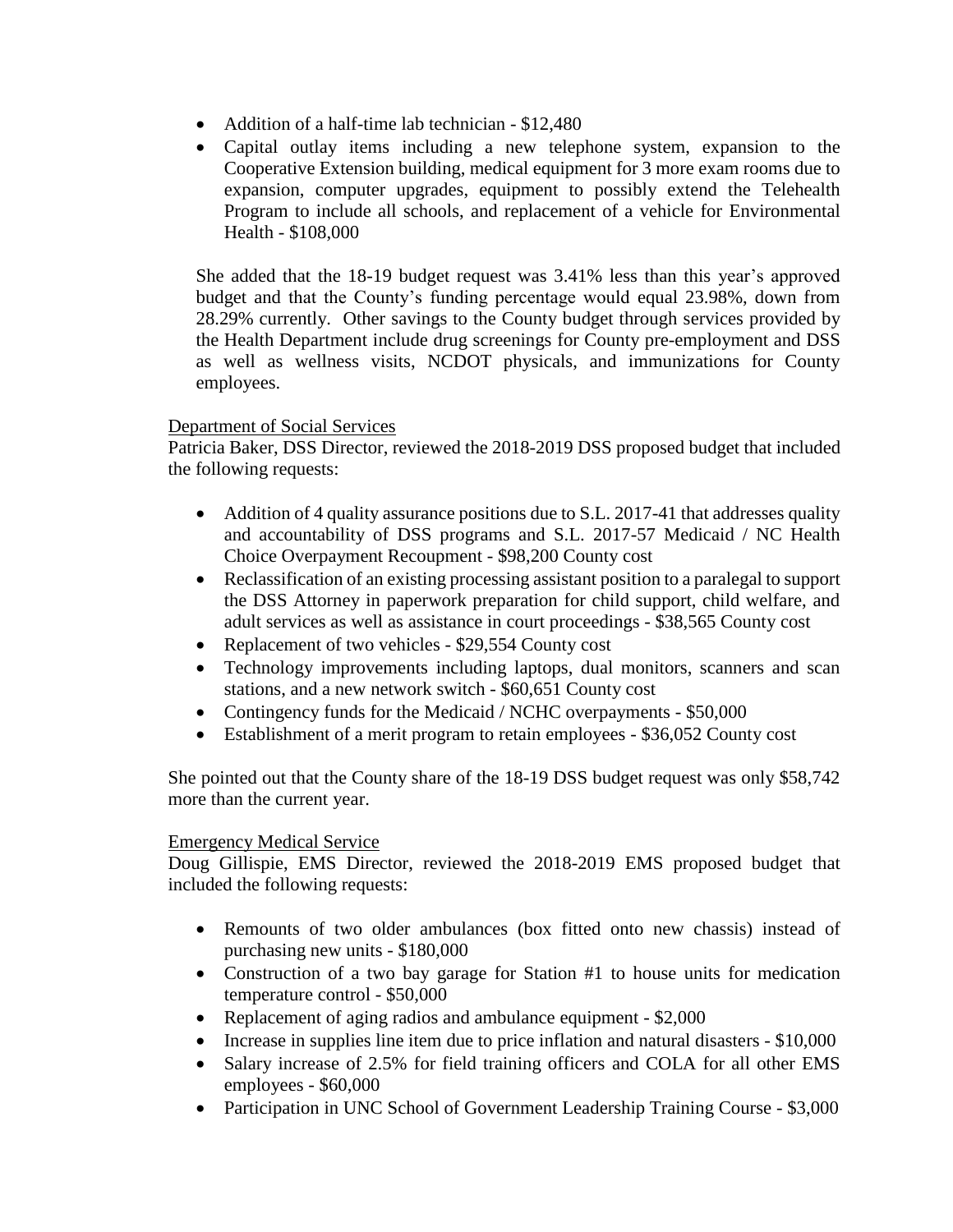- Addition of a half-time lab technician \$12,480
- Capital outlay items including a new telephone system, expansion to the Cooperative Extension building, medical equipment for 3 more exam rooms due to expansion, computer upgrades, equipment to possibly extend the Telehealth Program to include all schools, and replacement of a vehicle for Environmental Health - \$108,000

She added that the 18-19 budget request was 3.41% less than this year's approved budget and that the County's funding percentage would equal 23.98%, down from 28.29% currently. Other savings to the County budget through services provided by the Health Department include drug screenings for County pre-employment and DSS as well as wellness visits, NCDOT physicals, and immunizations for County employees.

#### Department of Social Services

Patricia Baker, DSS Director, reviewed the 2018-2019 DSS proposed budget that included the following requests:

- Addition of 4 quality assurance positions due to S.L. 2017-41 that addresses quality and accountability of DSS programs and S.L. 2017-57 Medicaid / NC Health Choice Overpayment Recoupment - \$98,200 County cost
- Reclassification of an existing processing assistant position to a paralegal to support the DSS Attorney in paperwork preparation for child support, child welfare, and adult services as well as assistance in court proceedings - \$38,565 County cost
- Replacement of two vehicles \$29,554 County cost
- Technology improvements including laptops, dual monitors, scanners and scan stations, and a new network switch - \$60,651 County cost
- Contingency funds for the Medicaid / NCHC overpayments \$50,000
- Establishment of a merit program to retain employees \$36,052 County cost

She pointed out that the County share of the 18-19 DSS budget request was only \$58,742 more than the current year.

#### Emergency Medical Service

Doug Gillispie, EMS Director, reviewed the 2018-2019 EMS proposed budget that included the following requests:

- Remounts of two older ambulances (box fitted onto new chassis) instead of purchasing new units - \$180,000
- Construction of a two bay garage for Station #1 to house units for medication temperature control - \$50,000
- Replacement of aging radios and ambulance equipment \$2,000
- Increase in supplies line item due to price inflation and natural disasters \$10,000
- Salary increase of 2.5% for field training officers and COLA for all other EMS employees - \$60,000
- Participation in UNC School of Government Leadership Training Course \$3,000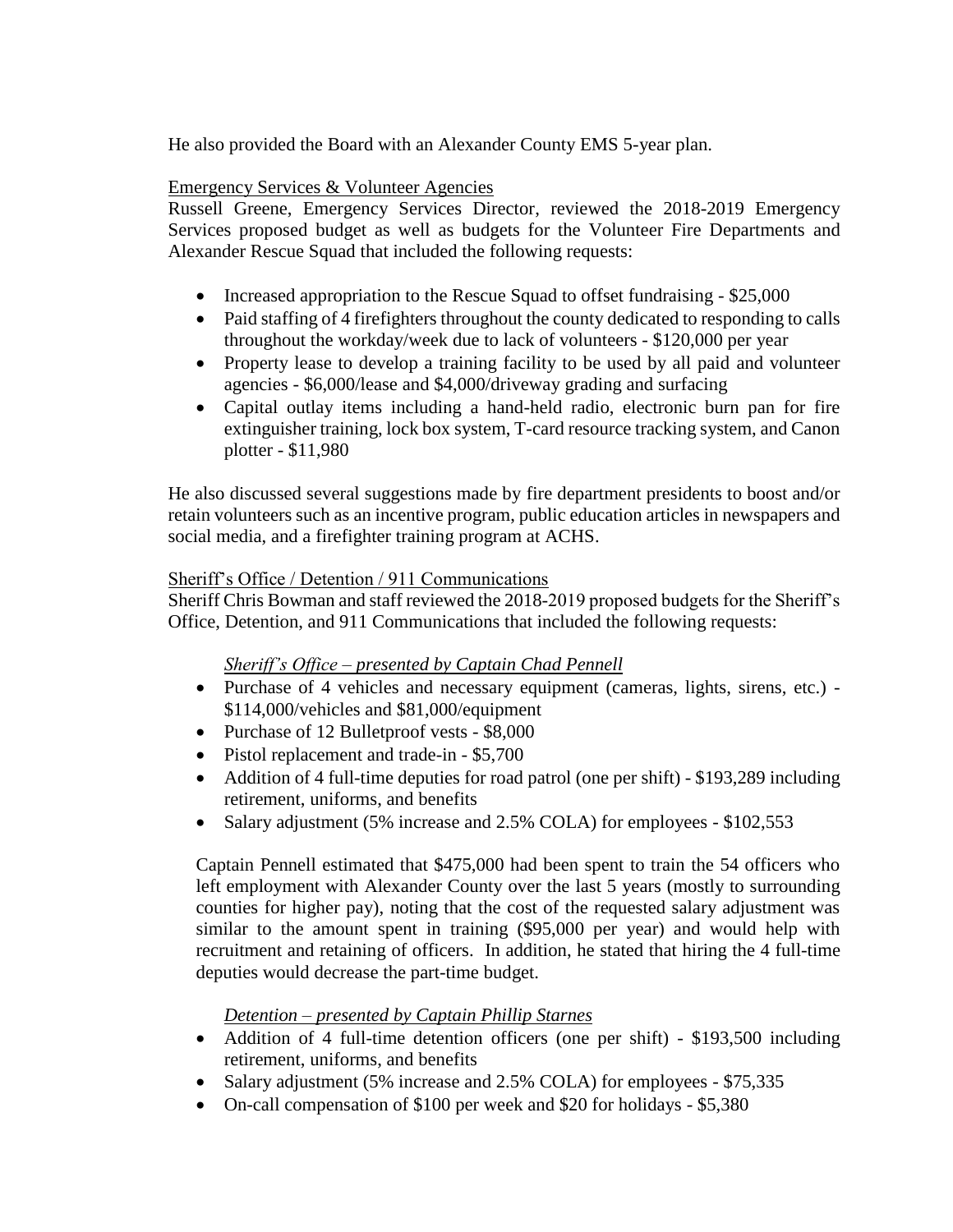He also provided the Board with an Alexander County EMS 5-year plan.

#### Emergency Services & Volunteer Agencies

Russell Greene, Emergency Services Director, reviewed the 2018-2019 Emergency Services proposed budget as well as budgets for the Volunteer Fire Departments and Alexander Rescue Squad that included the following requests:

- Increased appropriation to the Rescue Squad to offset fundraising \$25,000
- Paid staffing of 4 firefighters throughout the county dedicated to responding to calls throughout the workday/week due to lack of volunteers - \$120,000 per year
- Property lease to develop a training facility to be used by all paid and volunteer agencies - \$6,000/lease and \$4,000/driveway grading and surfacing
- Capital outlay items including a hand-held radio, electronic burn pan for fire extinguisher training, lock box system, T-card resource tracking system, and Canon plotter - \$11,980

He also discussed several suggestions made by fire department presidents to boost and/or retain volunteers such as an incentive program, public education articles in newspapers and social media, and a firefighter training program at ACHS.

#### Sheriff's Office / Detention / 911 Communications

Sheriff Chris Bowman and staff reviewed the 2018-2019 proposed budgets for the Sheriff's Office, Detention, and 911 Communications that included the following requests:

## *Sheriff's Office – presented by Captain Chad Pennell*

- Purchase of 4 vehicles and necessary equipment (cameras, lights, sirens, etc.) \$114,000/vehicles and \$81,000/equipment
- Purchase of 12 Bulletproof vests \$8,000
- Pistol replacement and trade-in \$5,700
- Addition of 4 full-time deputies for road patrol (one per shift) \$193,289 including retirement, uniforms, and benefits
- Salary adjustment (5% increase and 2.5% COLA) for employees \$102,553

Captain Pennell estimated that \$475,000 had been spent to train the 54 officers who left employment with Alexander County over the last 5 years (mostly to surrounding counties for higher pay), noting that the cost of the requested salary adjustment was similar to the amount spent in training (\$95,000 per year) and would help with recruitment and retaining of officers. In addition, he stated that hiring the 4 full-time deputies would decrease the part-time budget.

# *Detention – presented by Captain Phillip Starnes*

- Addition of 4 full-time detention officers (one per shift) \$193,500 including retirement, uniforms, and benefits
- Salary adjustment (5% increase and 2.5% COLA) for employees \$75,335
- On-call compensation of \$100 per week and \$20 for holidays \$5,380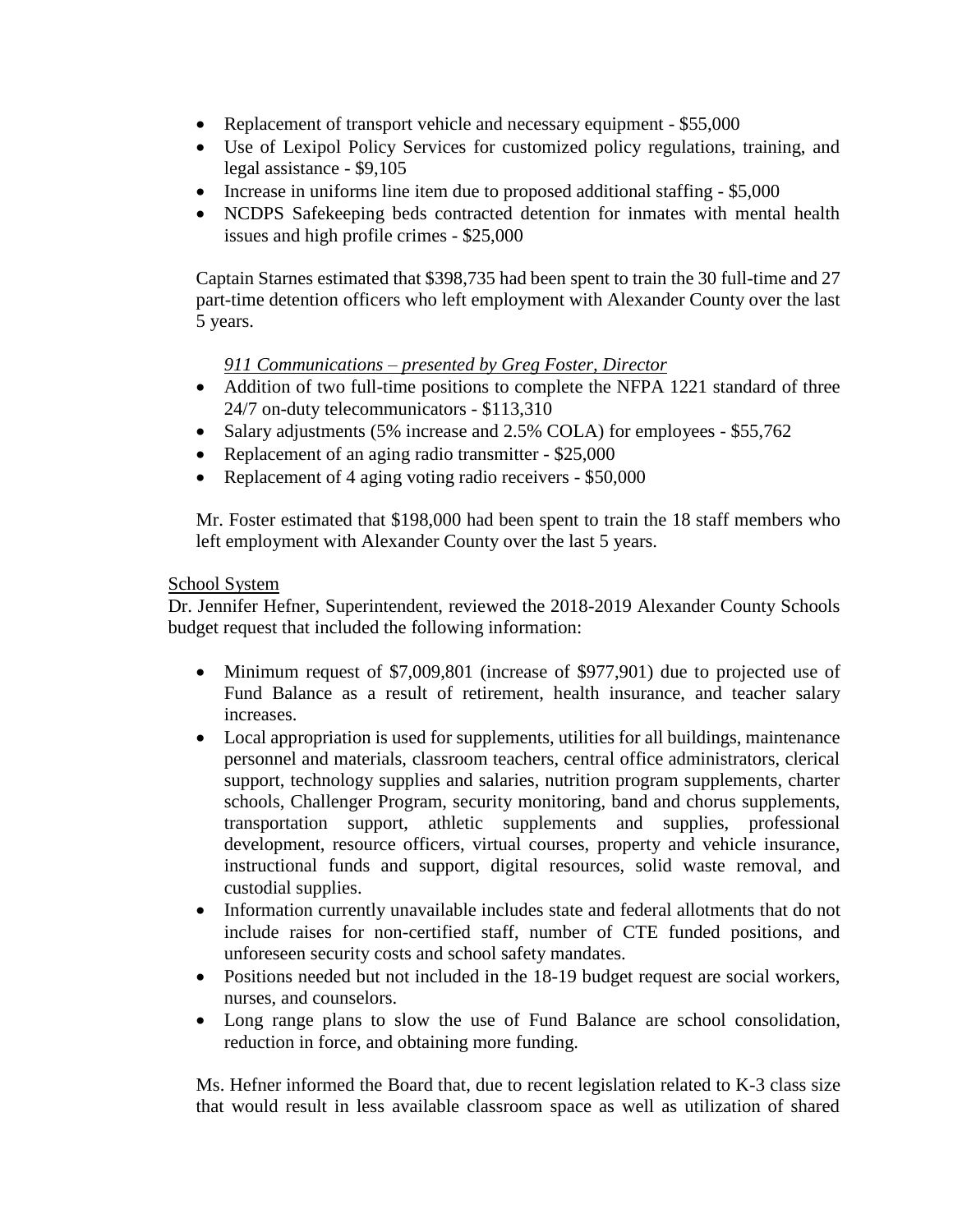- Replacement of transport vehicle and necessary equipment \$55,000
- Use of Lexipol Policy Services for customized policy regulations, training, and legal assistance - \$9,105
- Increase in uniforms line item due to proposed additional staffing \$5,000
- NCDPS Safekeeping beds contracted detention for inmates with mental health issues and high profile crimes - \$25,000

Captain Starnes estimated that \$398,735 had been spent to train the 30 full-time and 27 part-time detention officers who left employment with Alexander County over the last 5 years.

## *911 Communications – presented by Greg Foster, Director*

- Addition of two full-time positions to complete the NFPA 1221 standard of three 24/7 on-duty telecommunicators - \$113,310
- Salary adjustments (5% increase and 2.5% COLA) for employees \$55,762
- Replacement of an aging radio transmitter \$25,000
- Replacement of 4 aging voting radio receivers \$50,000

Mr. Foster estimated that \$198,000 had been spent to train the 18 staff members who left employment with Alexander County over the last 5 years.

#### School System

Dr. Jennifer Hefner, Superintendent, reviewed the 2018-2019 Alexander County Schools budget request that included the following information:

- Minimum request of \$7,009,801 (increase of \$977,901) due to projected use of Fund Balance as a result of retirement, health insurance, and teacher salary increases.
- Local appropriation is used for supplements, utilities for all buildings, maintenance personnel and materials, classroom teachers, central office administrators, clerical support, technology supplies and salaries, nutrition program supplements, charter schools, Challenger Program, security monitoring, band and chorus supplements, transportation support, athletic supplements and supplies, professional development, resource officers, virtual courses, property and vehicle insurance, instructional funds and support, digital resources, solid waste removal, and custodial supplies.
- Information currently unavailable includes state and federal allotments that do not include raises for non-certified staff, number of CTE funded positions, and unforeseen security costs and school safety mandates.
- Positions needed but not included in the 18-19 budget request are social workers, nurses, and counselors.
- Long range plans to slow the use of Fund Balance are school consolidation, reduction in force, and obtaining more funding.

Ms. Hefner informed the Board that, due to recent legislation related to K-3 class size that would result in less available classroom space as well as utilization of shared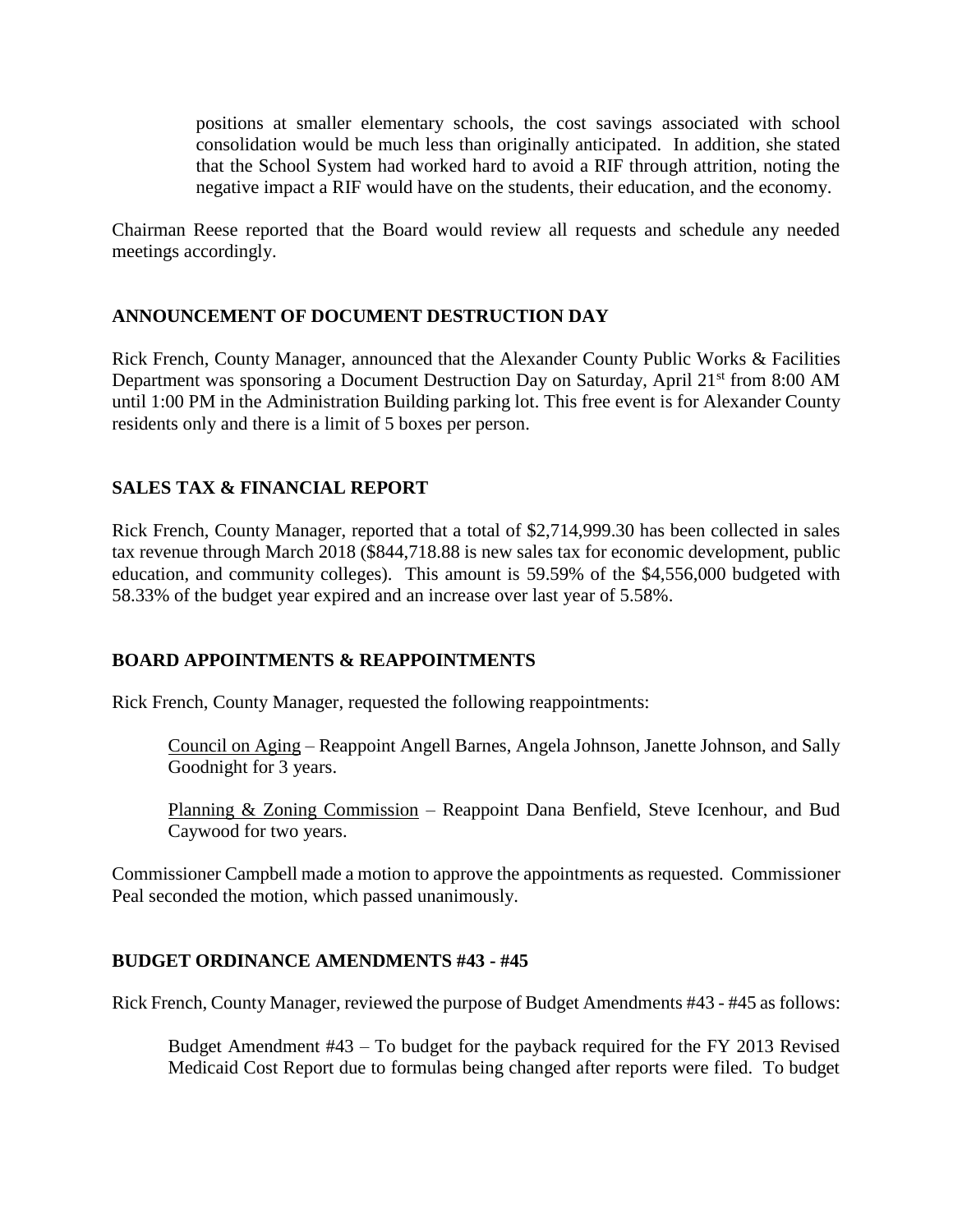positions at smaller elementary schools, the cost savings associated with school consolidation would be much less than originally anticipated. In addition, she stated that the School System had worked hard to avoid a RIF through attrition, noting the negative impact a RIF would have on the students, their education, and the economy.

Chairman Reese reported that the Board would review all requests and schedule any needed meetings accordingly.

#### **ANNOUNCEMENT OF DOCUMENT DESTRUCTION DAY**

Rick French, County Manager, announced that the Alexander County Public Works & Facilities Department was sponsoring a Document Destruction Day on Saturday, April 21<sup>st</sup> from 8:00 AM until 1:00 PM in the Administration Building parking lot. This free event is for Alexander County residents only and there is a limit of 5 boxes per person.

## **SALES TAX & FINANCIAL REPORT**

Rick French, County Manager, reported that a total of \$2,714,999.30 has been collected in sales tax revenue through March 2018 (\$844,718.88 is new sales tax for economic development, public education, and community colleges). This amount is 59.59% of the \$4,556,000 budgeted with 58.33% of the budget year expired and an increase over last year of 5.58%.

## **BOARD APPOINTMENTS & REAPPOINTMENTS**

Rick French, County Manager, requested the following reappointments:

Council on Aging – Reappoint Angell Barnes, Angela Johnson, Janette Johnson, and Sally Goodnight for 3 years.

Planning & Zoning Commission – Reappoint Dana Benfield, Steve Icenhour, and Bud Caywood for two years.

Commissioner Campbell made a motion to approve the appointments as requested. Commissioner Peal seconded the motion, which passed unanimously.

#### **BUDGET ORDINANCE AMENDMENTS #43 - #45**

Rick French, County Manager, reviewed the purpose of Budget Amendments #43 - #45 as follows:

Budget Amendment #43 – To budget for the payback required for the FY 2013 Revised Medicaid Cost Report due to formulas being changed after reports were filed. To budget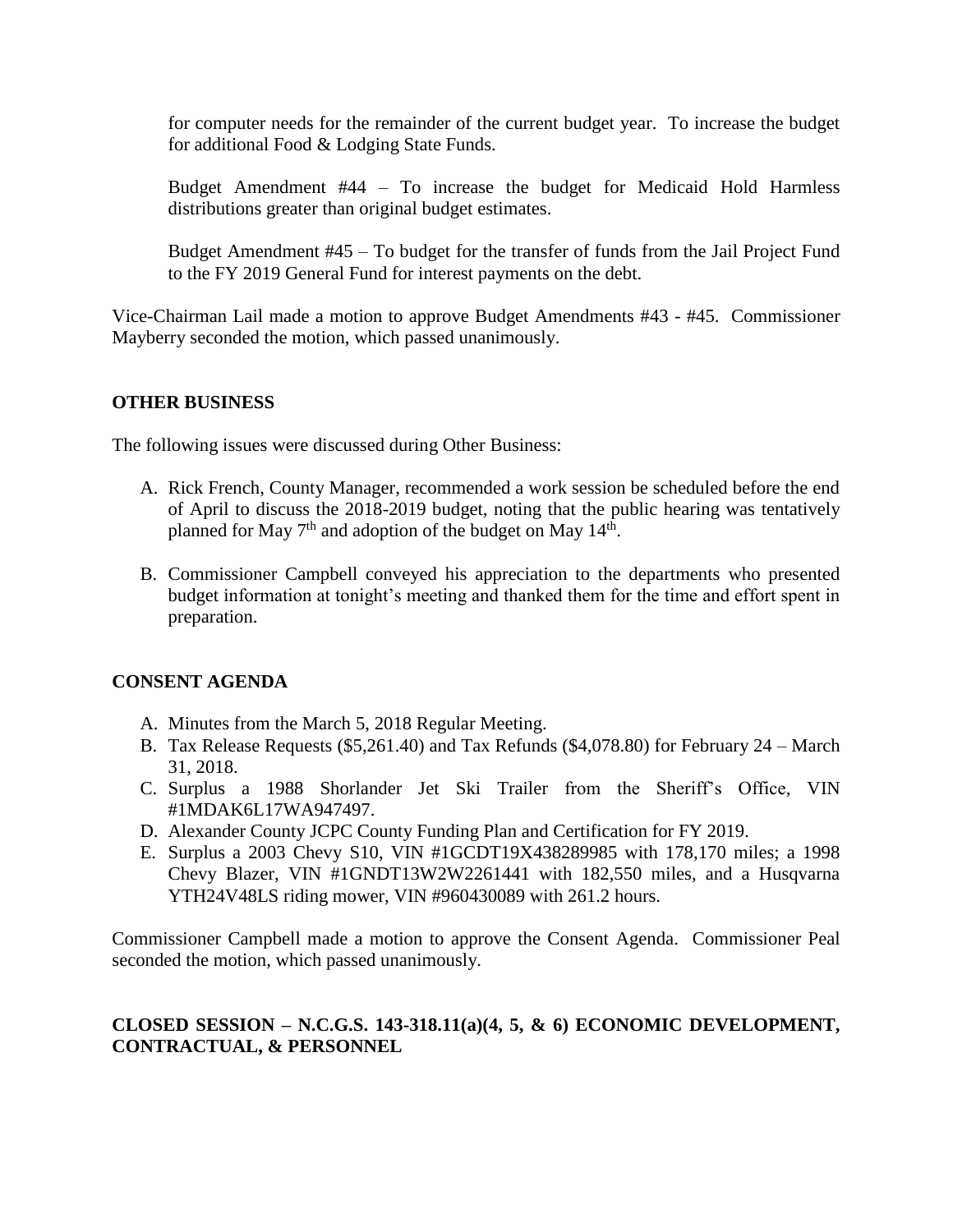for computer needs for the remainder of the current budget year. To increase the budget for additional Food & Lodging State Funds.

Budget Amendment #44 – To increase the budget for Medicaid Hold Harmless distributions greater than original budget estimates.

Budget Amendment #45 – To budget for the transfer of funds from the Jail Project Fund to the FY 2019 General Fund for interest payments on the debt.

Vice-Chairman Lail made a motion to approve Budget Amendments #43 - #45. Commissioner Mayberry seconded the motion, which passed unanimously.

#### **OTHER BUSINESS**

The following issues were discussed during Other Business:

- A. Rick French, County Manager, recommended a work session be scheduled before the end of April to discuss the 2018-2019 budget, noting that the public hearing was tentatively planned for May  $7<sup>th</sup>$  and adoption of the budget on May  $14<sup>th</sup>$ .
- B. Commissioner Campbell conveyed his appreciation to the departments who presented budget information at tonight's meeting and thanked them for the time and effort spent in preparation.

#### **CONSENT AGENDA**

- A. Minutes from the March 5, 2018 Regular Meeting.
- B. Tax Release Requests (\$5,261.40) and Tax Refunds (\$4,078.80) for February 24 March 31, 2018.
- C. Surplus a 1988 Shorlander Jet Ski Trailer from the Sheriff's Office, VIN #1MDAK6L17WA947497.
- D. Alexander County JCPC County Funding Plan and Certification for FY 2019.
- E. Surplus a 2003 Chevy S10, VIN #1GCDT19X438289985 with 178,170 miles; a 1998 Chevy Blazer, VIN #1GNDT13W2W2261441 with 182,550 miles, and a Husqvarna YTH24V48LS riding mower, VIN #960430089 with 261.2 hours.

Commissioner Campbell made a motion to approve the Consent Agenda. Commissioner Peal seconded the motion, which passed unanimously.

#### **CLOSED SESSION – N.C.G.S. 143-318.11(a)(4, 5, & 6) ECONOMIC DEVELOPMENT, CONTRACTUAL, & PERSONNEL**